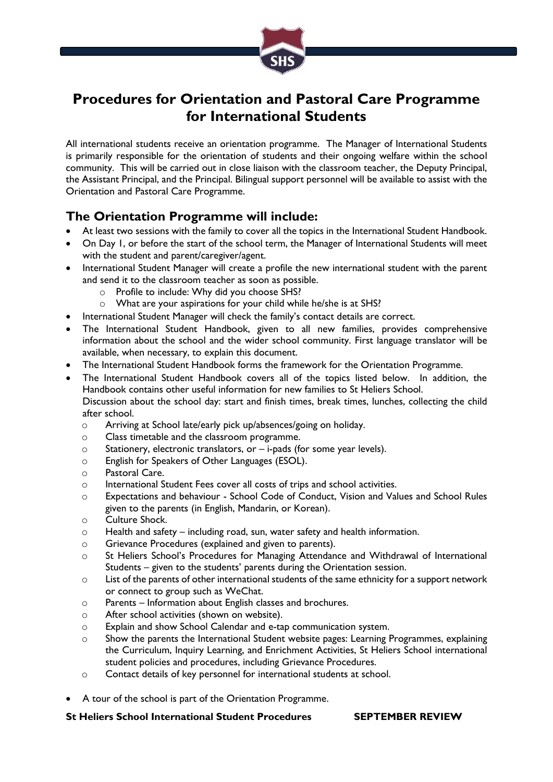

# **Procedures for Orientation and Pastoral Care Programme for International Students**

All international students receive an orientation programme. The Manager of International Students is primarily responsible for the orientation of students and their ongoing welfare within the school community. This will be carried out in close liaison with the classroom teacher, the Deputy Principal, the Assistant Principal, and the Principal. Bilingual support personnel will be available to assist with the Orientation and Pastoral Care Programme.

## **The Orientation Programme will include:**

- At least two sessions with the family to cover all the topics in the International Student Handbook.
- On Day 1, or before the start of the school term, the Manager of International Students will meet with the student and parent/caregiver/agent.
- International Student Manager will create a profile the new international student with the parent and send it to the classroom teacher as soon as possible.
	- o Profile to include: Why did you choose SHS?
	- o What are your aspirations for your child while he/she is at SHS?
- International Student Manager will check the family's contact details are correct.
- The International Student Handbook, given to all new families, provides comprehensive information about the school and the wider school community. First language translator will be available, when necessary, to explain this document.
- The International Student Handbook forms the framework for the Orientation Programme.
- The International Student Handbook covers all of the topics listed below. In addition, the Handbook contains other useful information for new families to St Heliers School. Discussion about the school day: start and finish times, break times, lunches, collecting the child after school.
	- o Arriving at School late/early pick up/absences/going on holiday.
	- o Class timetable and the classroom programme.
	- o Stationery, electronic translators, or i-pads (for some year levels).
	- o English for Speakers of Other Languages (ESOL).
	- o Pastoral Care.
	- o International Student Fees cover all costs of trips and school activities.
	- o Expectations and behaviour School Code of Conduct, Vision and Values and School Rules given to the parents (in English, Mandarin, or Korean).
	- o Culture Shock.
	- o Health and safety including road, sun, water safety and health information.
	- o Grievance Procedures (explained and given to parents).
	- o St Heliers School's Procedures for Managing Attendance and Withdrawal of International Students – given to the students' parents during the Orientation session.
	- o List of the parents of other international students of the same ethnicity for a support network or connect to group such as WeChat.
	- o Parents Information about English classes and brochures.
	- o After school activities (shown on website).
	- o Explain and show School Calendar and e-tap communication system.
	- o Show the parents the International Student website pages: Learning Programmes, explaining the Curriculum, Inquiry Learning, and Enrichment Activities, St Heliers School international student policies and procedures, including Grievance Procedures.
	- o Contact details of key personnel for international students at school.
- A tour of the school is part of the Orientation Programme.

### **St Heliers School International Student Procedures SEPTEMBER REVIEW**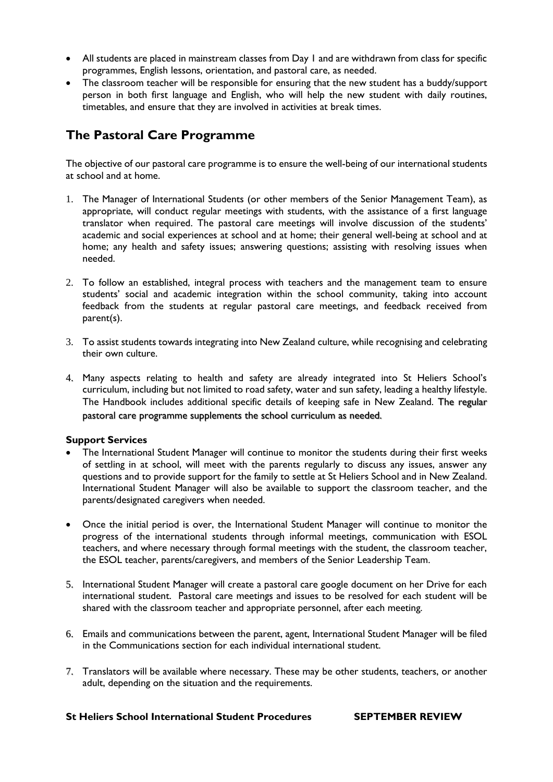- All students are placed in mainstream classes from Day 1 and are withdrawn from class for specific programmes, English lessons, orientation, and pastoral care, as needed.
- The classroom teacher will be responsible for ensuring that the new student has a buddy/support person in both first language and English, who will help the new student with daily routines, timetables, and ensure that they are involved in activities at break times.

## **The Pastoral Care Programme**

The objective of our pastoral care programme is to ensure the well-being of our international students at school and at home.

- 1. The Manager of International Students (or other members of the Senior Management Team), as appropriate, will conduct regular meetings with students, with the assistance of a first language translator when required. The pastoral care meetings will involve discussion of the students' academic and social experiences at school and at home; their general well-being at school and at home; any health and safety issues; answering questions; assisting with resolving issues when needed.
- 2. To follow an established, integral process with teachers and the management team to ensure students' social and academic integration within the school community, taking into account feedback from the students at regular pastoral care meetings, and feedback received from parent(s).
- 3. To assist students towards integrating into New Zealand culture, while recognising and celebrating their own culture.
- 4. Many aspects relating to health and safety are already integrated into St Heliers School's curriculum, including but not limited to road safety, water and sun safety, leading a healthy lifestyle. The Handbook includes additional specific details of keeping safe in New Zealand. The regular pastoral care programme supplements the school curriculum as needed.

## **Support Services**

- The International Student Manager will continue to monitor the students during their first weeks of settling in at school, will meet with the parents regularly to discuss any issues, answer any questions and to provide support for the family to settle at St Heliers School and in New Zealand. International Student Manager will also be available to support the classroom teacher, and the parents/designated caregivers when needed.
- Once the initial period is over, the International Student Manager will continue to monitor the progress of the international students through informal meetings, communication with ESOL teachers, and where necessary through formal meetings with the student, the classroom teacher, the ESOL teacher, parents/caregivers, and members of the Senior Leadership Team.
- 5. International Student Manager will create a pastoral care google document on her Drive for each international student. Pastoral care meetings and issues to be resolved for each student will be shared with the classroom teacher and appropriate personnel, after each meeting.
- 6. Emails and communications between the parent, agent, International Student Manager will be filed in the Communications section for each individual international student.
- 7. Translators will be available where necessary. These may be other students, teachers, or another adult, depending on the situation and the requirements.

### **St Heliers School International Student Procedures SEPTEMBER REVIEW**